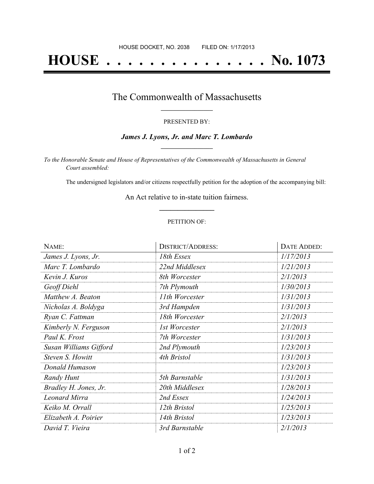# **HOUSE . . . . . . . . . . . . . . . No. 1073**

### The Commonwealth of Massachusetts **\_\_\_\_\_\_\_\_\_\_\_\_\_\_\_\_\_**

#### PRESENTED BY:

#### *James J. Lyons, Jr. and Marc T. Lombardo* **\_\_\_\_\_\_\_\_\_\_\_\_\_\_\_\_\_**

*To the Honorable Senate and House of Representatives of the Commonwealth of Massachusetts in General Court assembled:*

The undersigned legislators and/or citizens respectfully petition for the adoption of the accompanying bill:

An Act relative to in-state tuition fairness. **\_\_\_\_\_\_\_\_\_\_\_\_\_\_\_**

#### PETITION OF:

| NAME:                  | <b>DISTRICT/ADDRESS:</b> | <b>DATE ADDED:</b> |
|------------------------|--------------------------|--------------------|
| James J. Lyons, Jr.    | 18th Essex               | 1/17/2013          |
| Marc T. Lombardo       | 22nd Middlesex           | 1/21/2013          |
| Kevin J. Kuros         | 8th Worcester            | 2/1/2013           |
| Geoff Diehl            | 7th Plymouth             | 1/30/2013          |
| Matthew A. Beaton      | 11th Worcester           | 1/31/2013          |
| Nicholas A. Boldyga    | 3rd Hampden              | 1/31/2013          |
| Ryan C. Fattman        | 18th Worcester           | 2/1/2013           |
| Kimberly N. Ferguson   | 1st Worcester            | 2/1/2013           |
| Paul K. Frost          | 7th Worcester            | 1/31/2013          |
| Susan Williams Gifford | 2nd Plymouth             | 1/23/2013          |
| Steven S. Howitt       | 4th Bristol              | 1/31/2013          |
| Donald Humason         |                          | 1/23/2013          |
| Randy Hunt             | 5th Barnstable           | 1/31/2013          |
| Bradley H. Jones, Jr.  | 20th Middlesex           | 1/28/2013          |
| <b>Leonard Mirra</b>   | 2nd Essex                | 1/24/2013          |
| Keiko M. Orrall        | 12th Bristol             | 1/25/2013          |
| Elizabeth A. Poirier   | 14th Bristol             | 1/23/2013          |
| David T. Vieira        | 3rd Barnstable           | 2/1/2013           |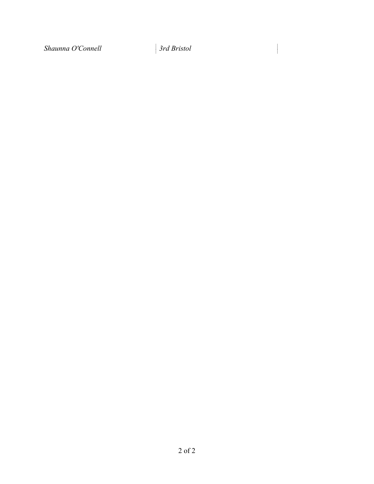*Shaunna O'Connell 3rd Bristol*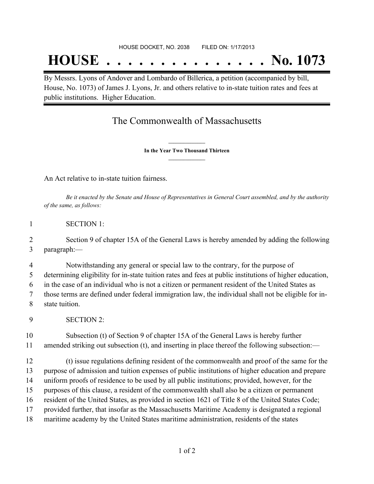## **HOUSE . . . . . . . . . . . . . . . No. 1073**

By Messrs. Lyons of Andover and Lombardo of Billerica, a petition (accompanied by bill, House, No. 1073) of James J. Lyons, Jr. and others relative to in-state tuition rates and fees at public institutions. Higher Education.

## The Commonwealth of Massachusetts

**\_\_\_\_\_\_\_\_\_\_\_\_\_\_\_ In the Year Two Thousand Thirteen \_\_\_\_\_\_\_\_\_\_\_\_\_\_\_**

An Act relative to in-state tuition fairness.

Be it enacted by the Senate and House of Representatives in General Court assembled, and by the authority *of the same, as follows:*

SECTION 1:

 Section 9 of chapter 15A of the General Laws is hereby amended by adding the following paragraph:—

 Notwithstanding any general or special law to the contrary, for the purpose of determining eligibility for in-state tuition rates and fees at public institutions of higher education, in the case of an individual who is not a citizen or permanent resident of the United States as those terms are defined under federal immigration law, the individual shall not be eligible for in-state tuition.

SECTION 2:

 Subsection (t) of Section 9 of chapter 15A of the General Laws is hereby further amended striking out subsection (t), and inserting in place thereof the following subsection:—

 (t) issue regulations defining resident of the commonwealth and proof of the same for the purpose of admission and tuition expenses of public institutions of higher education and prepare uniform proofs of residence to be used by all public institutions; provided, however, for the purposes of this clause, a resident of the commonwealth shall also be a citizen or permanent resident of the United States, as provided in section 1621 of Title 8 of the United States Code; provided further, that insofar as the Massachusetts Maritime Academy is designated a regional maritime academy by the United States maritime administration, residents of the states